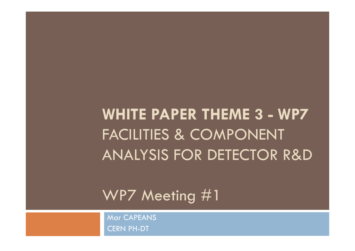**WHITE PAPER THEME 3 - WP7** FACILITIES & COMPONENT ANALYSIS FOR DETECTOR R&D

WP7 Meeting #1

Mar CAPEANS CERN PH-DT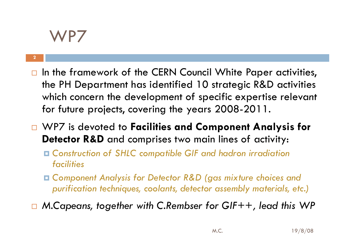### WP7

- $\Box$  In the framework of the CERN Council White Paper activities, the PH Department has identified 10 strategic R&D activities which concern the development of specific expertise relevant for future projects, covering the years 2008-2011.
- $\Box$  WP7 is devoted to **Facilities and Component Analysis for Detector R&D** and comprises two main lines of activity:
	- *Construction of SHLC compatible GIF and hadron irradiation facilities*
	- Component Analysis for Detector R&D (gas mixture choices and *purification techniques, coolants, detector assembly materials, etc.)*
- $\Box$ □ M.Capeans, together with C.Rembser for GIF++, lead this WP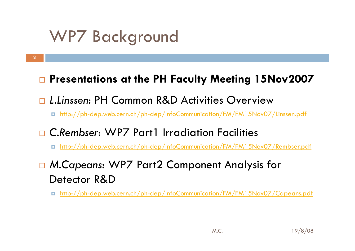# WP7 Background

### **Presentations at the PH Faculty Meeting 15Nov2007**

### □ L.Linssen: PH Common R&D Activities Overview

### http://ph-dep.web.cern.ch/ph-dep/InfoCommunication/FM/FM15Nov07/Linssen.pdf

### *C.Rembser*: WP7 Part1 Irradiation Facilities

### http://ph-dep.web.cern.ch/ph-dep/InfoCommunication/FM/FM15Nov07/Rembser.pdf

### *M.Capeans*: WP7 Part2 Component Analysis for Detector R&D

#### O http://ph-dep.web.cern.ch/ph-dep/InfoCommunication/FM/FM15Nov07/Capeans.pdf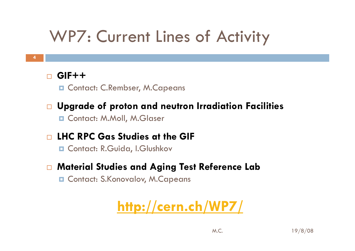# WP7: Current Lines of Activity

#### $\Box$ **GIF++**

□ Contact: C.Rembser, M.Capeans

### $\Box$ **Upgrade of proton and neutron Irradiation Facilities**

Contact: M.Moll, M.Glaser

#### $\Box$ **LHC RPC Gas Studies at the GIF**

Contact: R.Guida, I.Glushkov

#### $\Box$ **Material Studies and Aging Test Reference Lab**

**Q Contact: S.Konovalov, M.Capeans** 

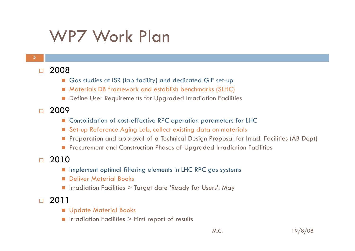## WP7 Work Plan

- $\Box$  2008
	- Gas studies at ISR (lab facility) and dedicated GIF set-up
	- Materials DB framework and establish benchmarks (SLHC)
	- **Define User Requirements for Upgraded Irradiation Facilities**
- $\Box$  2009
	- Consolidation of cost-effective RPC operation parameters for LHC
	- Set-up Reference Aging Lab, collect existing data on materials
	- Preparation and approval of a Technical Design Proposal for Irrad. Facilities (AB Dept)
	- **Procurement and Construction Phases of Upgraded Irradiation Facilities**
- $\Box$  2010
	- **Inplement optimal filtering elements in LHC RPC gas systems**
	- **Deliver Material Books**
	- Irradiation Facilities > Target date 'Ready for Users': May
- $\Box$  2011
	- **Update Material Books**
	- **I** Irradiation Facilities  $>$  First report of results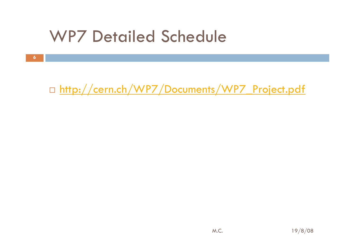## WP7 Detailed Schedule

□ <u>http://cern.ch/WP7/Documents/WP7\_Project.pdf</u>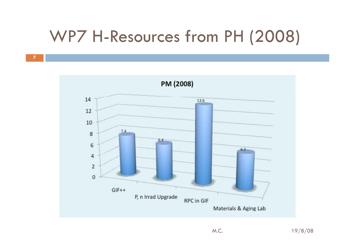# WP7 H-Resources from PH (2008)

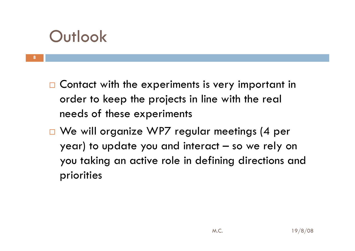## **Outlook**

- $\Box$  Contact with the experiments is very important in order to keep the projects in line with the real needs of these experiments
- □ We will organize WP7 regular meetings (4 per year) to update you and interact – so we rely on you taking an active role in defining directions and priorities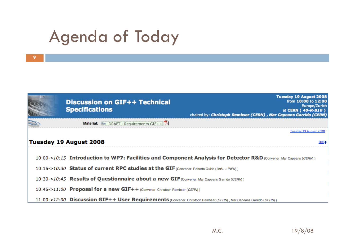# Agenda of Today

| <b>Discussion on GIF++ Technical</b><br><b>Specifications</b>                                                   | <b>Tuesday 19 August 2008</b><br>from 10:00 to 12:00<br>Europe/Zurich<br>at CERN (40-R-B10)<br>chaired by: Christoph Rembser (CERN), Mar Capeans Garrido (CERN) |
|-----------------------------------------------------------------------------------------------------------------|-----------------------------------------------------------------------------------------------------------------------------------------------------------------|
| Material: $\gg$ DRAFT - Requirements GIF++ $\overline{V}$                                                       |                                                                                                                                                                 |
|                                                                                                                 | Tuesday 19 August 2008                                                                                                                                          |
| Tuesday 19 August 2008                                                                                          | top+                                                                                                                                                            |
|                                                                                                                 | 10:00->10:15 Introduction to WP7: Facilities and Component Analysis for Detector R&D (Convener: Mar Capeans (CERN))                                             |
| 10:15->10:30 Status of current RPC studies at the GIF (Convener: Roberto Guida (Univ. + INFN))                  |                                                                                                                                                                 |
| 10:30->10:45 Results of Questionnaire about a new GIF (Convener: Mar Capeans Garrido (CERN))                    |                                                                                                                                                                 |
| 10:45->11:00 Proposal for a new GIF++ (Convener: Christoph Rembser (CERN))                                      |                                                                                                                                                                 |
| 11:00->12:00 Discussion GIF++ User Requirements (Convener: Christoph Rembser (CERM), Mar Capeans Garrido (CERM) |                                                                                                                                                                 |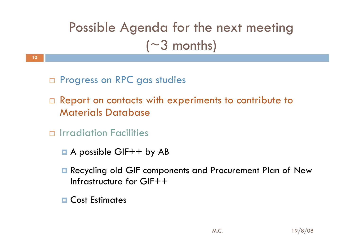## Possible Agenda for the next meeting  $(\sim 3$  months)

□ Progress on RPC gas studies

- $\Box$  Report on contacts with experiments to contribute to Materials Database
- Irradiation Facilities

- **A** possible GIF++ by AB
- **Recycling old GIF components and Procurement Plan of New** Infrastructure for GIF++
- **D** Cost Estimates